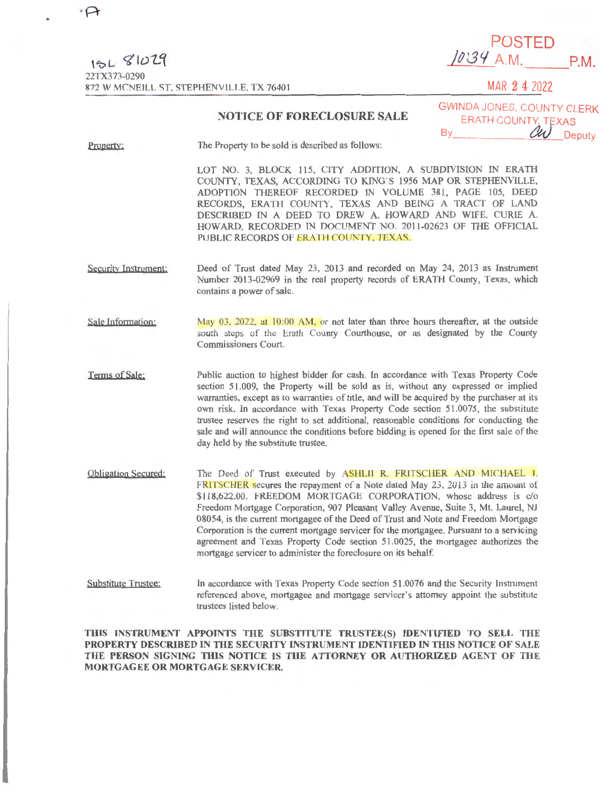| $15L$ $81UL$                             |  |  |
|------------------------------------------|--|--|
| 22TX373-0290                             |  |  |
| 872 W MCNEILL ST. STEPHENVILLE, TX 76401 |  |  |

 $71.10$ 

POSTED /~<sup>1</sup> *.3'1* A.M. P.M.

**MAR 2 4 2022** 

## **NOTICE OF FORECLOSURE SALE**

**GWINDA JONES, COUNTY CLERK** ERATH COUNTY, TEXAS By *CW* Deputy

Property: The Property to be sold is described as follows:

> LOT NO. 3, BLOCK 115, CITY ADDITION, A SUBDIVISION IN ERATH COUNTY, TEXAS, ACCORDING TO KING'S 1956 MAP OR STEPHENVILLE, ADOPTION THEREOF RECORDED IN VOLUME 381, PAGE 105, DEED RECORDS, ERATH COUNTY, TEXAS AND BEING A TRACT OF LAND DESCRIBED lN A DEED TO DREW A. HOWARD AND WlFE, CURIE A. HOWARD, RECORDED IN DOCUMENT NO. 2011-02623 OF THE OFFICIAL PUBLIC RECORDS OF ERATH COUNTY, TEXAS.

- Security Instrument: Deed of Trust dated May 23, 2013 and recorded on May 24, 2013 as Instrument Number 2013-02969 in the real property records of ERATH County, Texas, which contains a power of sale.
- Sale Information: May 03, 2022, at 10:00 AM, or not later than three hours thereafter, at the outside south steps of the Erath County Courthouse, or as designated by the County Commissioners Court.

Terms of Sale: Public auction to highest bidder for cash. In accordance with Texas Property Code section 5 l.009, the Property will be sold as is, without any expressed or implied warranties, except as to warranties of title, and will be acquired by the purchaser at its own risk. In accordance with Texas Property Code section 51.0075, the substitute trustee reserves the right to set additional, reasonable conditions for conducting the sale and will announce the conditions before bidding is opened for the first sale of the day held by the substitute trustee.

- Obligation Secured: The Deed of Trust executed by ASHLII R. FRITSCHER AND MICHAEL J. FRITSCHER secures the repayment of a Note dated May 23, 2013 in the amount of \$118,622.00. FREEDOM MORTGAGE CORPORATION, whose address is c/o Freedom Mortgage Corporation, 907 Pleasant Valley Avenue, Sujte 3, Mt. Laurel, NJ 08054, is the current mortgagee of the Deed of Trust and Note and Freedom Mortgage Corporation is the current mortgage servicer for the mortgagee. Pursuant to a servicing agreement and Texas Property Code section 51 .0025, the mortgagee authorizes the mortgage servicer to administer the foreclosure on its behalf.
- Substitute Trustee: In accordance with Texas Property Code section 51.0076 and the Security Instrument referenced above. mortgagee and mortgage servicer's attorney appoint the substitute trustees listed below.

THIS INSTRUMENT APPOINTS THE SUBSTITUTE TRUSTEE(S) IDENTIFIED TO SELL THE **PROPERTY DESCRIBED** IN **THE SECURITY INSTRUMENT IDENTIFIED** IN **THIS NOTICE OF SALE THE PERSON SICNINC TlllS NOTICE IS THE ATTORNEY OR AUTHORIZED AGENT OF THE MORTGAGEE OR MORTGAGE SERVICER.**